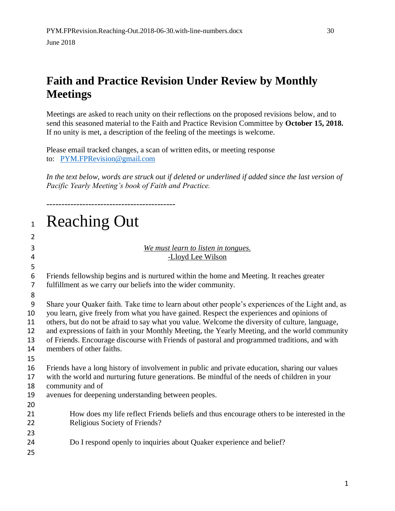## **Faith and Practice Revision Under Review by Monthly Meetings**

Meetings are asked to reach unity on their reflections on the proposed revisions below, and to send this seasoned material to the Faith and Practice Revision Committee by **October 15, 2018.** If no unity is met, a description of the feeling of the meetings is welcome.

Please email tracked changes, a scan of written edits, or meeting response to: [PYM.FPRevision@gmail.com](mailto:PYM.FPRC@gmail.com)

-------------------------------------------

*In the text below, words are struck out if deleted or underlined if added since the last version of Pacific Yearly Meeting's book of Faith and Practice.* 

| $\mathbf{1}$   | <b>Reaching Out</b>                                                                                                                                                                            |
|----------------|------------------------------------------------------------------------------------------------------------------------------------------------------------------------------------------------|
| $\overline{2}$ |                                                                                                                                                                                                |
| 3              | We must learn to listen in tongues.                                                                                                                                                            |
| 4              | -Lloyd Lee Wilson                                                                                                                                                                              |
| 5              |                                                                                                                                                                                                |
| 6              | Friends fellowship begins and is nurtured within the home and Meeting. It reaches greater                                                                                                      |
| $\overline{7}$ | fulfillment as we carry our beliefs into the wider community.                                                                                                                                  |
| 8<br>9         |                                                                                                                                                                                                |
| 10             | Share your Quaker faith. Take time to learn about other people's experiences of the Light and, as<br>you learn, give freely from what you have gained. Respect the experiences and opinions of |
| 11             | others, but do not be afraid to say what you value. Welcome the diversity of culture, language,                                                                                                |
| 12             | and expressions of faith in your Monthly Meeting, the Yearly Meeting, and the world community                                                                                                  |
| 13             | of Friends. Encourage discourse with Friends of pastoral and programmed traditions, and with                                                                                                   |
| 14             | members of other faiths.                                                                                                                                                                       |
| 15             |                                                                                                                                                                                                |
| 16             | Friends have a long history of involvement in public and private education, sharing our values                                                                                                 |
| 17             | with the world and nurturing future generations. Be mindful of the needs of children in your                                                                                                   |
| 18<br>19       | community and of<br>avenues for deepening understanding between peoples.                                                                                                                       |
| 20             |                                                                                                                                                                                                |
| 21             | How does my life reflect Friends beliefs and thus encourage others to be interested in the                                                                                                     |
| 22             | Religious Society of Friends?                                                                                                                                                                  |
| 23             |                                                                                                                                                                                                |
| 24             | Do I respond openly to inquiries about Quaker experience and belief?                                                                                                                           |
| 25             |                                                                                                                                                                                                |